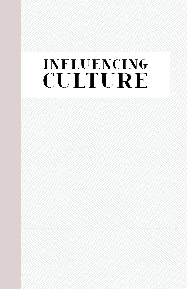# **INFLUENCING CULTURE**

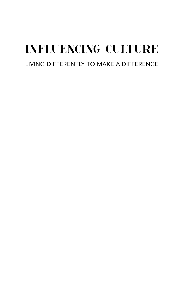# **INFLUENCING CULTURE**

# LIVING DIFFERENTLY TO MAKE A DIFFERENCE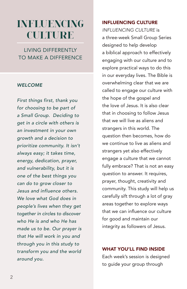# **INFLUENCING CULTURE**

LIVING DIFFERENTLY TO MAKE A DIFFERENCE

#### *WELCOME*

*First things first, thank you for choosing to be part of a Small Group. Deciding to get in a circle with others is an investment in your own growth and a decision to prioritize community. It isn't always easy; it takes time, energy, dedication, prayer, and vulnerability, but it is one of the best things you can do to grow closer to Jesus and influence others. We love what God does in people's lives when they get together in circles to discover who He is and who He has made us to be. Our prayer is that He will work in you and through you in this study to transform you and the world around you.* 

#### INFLUENCING CULTURE

*INFLUENCING CULTURE* is a three-week Small Group Series designed to help develop a biblical approach to effectively engaging with our culture and to explore practical ways to do this in our everyday lives. The Bible is overwhelming clear that we are called to engage our culture with the hope of the gospel and the love of Jesus. It is also clear that in choosing to follow Jesus that we will live as aliens and strangers in this world. The question then becomes, how do we continue to live as aliens and strangers yet also effectively engage a culture that we cannot fully embrace? That is not an easy question to answer. It requires, prayer, thought, creativity and community. This study will help us carefully sift through a lot of gray areas together to explore ways that we can influence our culture for good and maintain our integrity as followers of Jesus.

#### WHAT YOU'LL FIND INSIDE

Each week's session is designed to guide your group through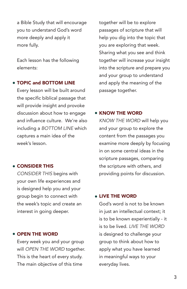a Bible Study that will encourage you to understand God's word more deeply and apply it more fully.

Each lesson has the following elements:

#### TOPIC and BOTTOM LINE

Every lesson will be built around the specific biblical passage that will provide insight and provoke discussion about how to engage and influence culture. We're also including a *BOTTOM LINE* which captures a main idea of the week's lesson.

#### CONSIDER THIS

*CONSIDER THIS* begins with your own life experiences and is designed help you and your group begin to connect with the week's topic and create an interest in going deeper.

#### OPEN THE WORD

Every week you and your group will *OPEN THE WORD* together. This is the heart of every study. The main objective of this time

together will be to explore passages of scripture that will help you dig into the topic that you are exploring that week. Sharing what you see and think together will increase your insight into the scripture and prepare you and your group to understand and apply the meaning of the passage together.

#### **• KNOW THE WORD**

*KNOW THE WORD* will help you and your group to explore the content from the passages you examine more deeply by focusing in on some central ideas in the scripture passages, comparing the scripture with others, and providing points for discussion.

#### LIVE THE WORD

God's word is not to be known in just an intellectual context; it is to be known experientially - it is to be lived. *LIVE THE WORD* is designed to challenge your group to think about how to apply what you have learned in meaningful ways to your everyday lives.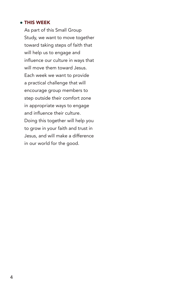#### THIS WEEK

As part of this Small Group Study, we want to move together toward taking steps of faith that will help us to engage and influence our culture in ways that will move them toward Jesus. Each week we want to provide a practical challenge that will encourage group members to step outside their comfort zone in appropriate ways to engage and influence their culture. Doing this together will help you to grow in your faith and trust in Jesus, and will make a difference in our world for the good.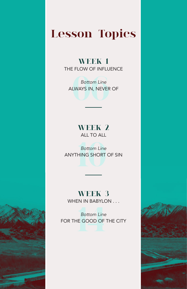# **Lesson Topics**

**WEEK 1** THE FLOW OF INFLUENCE

Bottom Line<br>WAYS IN, NEVER<br>**DEVERT** *Bottom Line*  ALWAYS IN, NEVER OF

# **WEEK 2**  ALL TO ALL

**10** *Bottom Line* ANYTHING SHORT OF SIN

# **WEEK 3**

WHEN IN BABYLON . . .

**1444**<br>**1444**<br>**1444**<br>**1444**<br>**1444**<br>**1444**<br>**1444** *Bottom Line*  FOR THE GOOD OF THE CITY



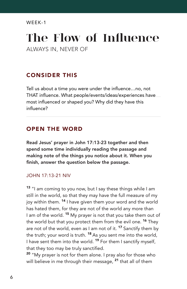# **The Flow of Influence**

ALWAYS IN, NEVER OF

# CONSIDER THIS

Tell us about a time you were under the influence…no, not THAT influence. What people/events/ideas/experiences have most influenced or shaped you? Why did they have this influence?

### OPEN THE WORD

Read Jesus' prayer in John 17:13-23 together and then spend some time individually reading the passage and making note of the things you notice about it. When you finish, answer the question below the passage.

#### JOHN 17:13-21 NIV

13 "I am coming to you now, but I say these things while I am still in the world, so that they may have the full measure of my joy within them.<sup>14</sup> I have given them your word and the world has hated them, for they are not of the world any more than I am of the world.<sup>15</sup> My prayer is not that you take them out of the world but that you protect them from the evil one.<sup>16</sup> They are not of the world, even as I am not of it. <sup>17</sup> Sanctify them by the truth; your word is truth.  $18$  As you sent me into the world, I have sent them into the world. <sup>19</sup> For them I sanctify myself, that they too may be truly sanctified.

<sup>20</sup> "My prayer is not for them alone. I pray also for those who will believe in me through their message, <sup>21</sup> that all of them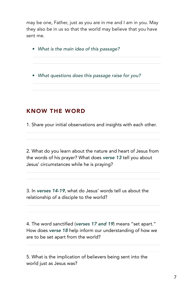may be one, Father, just as you are in me and I am in you. May they also be in us so that the world may believe that you have sent me.

*• What is the main idea of this passage?*

*• What questions does this passage raise for you?*

### KNOW THE WORD

1. Share your initial observations and insights with each other.

2. What do you learn about the nature and heart of Jesus from the words of his prayer? What does *verse 13* tell you about Jesus' circumstances while he is praying?

3. In *verses 14-19*, what do Jesus' words tell us about the relationship of a disciple to the world?

4. The word sanctified (*verses 17 and 19*) means "set apart." How does *verse 18* help inform our understanding of how we are to be set apart from the world?

5. What is the implication of believers being sent into the world just as Jesus was?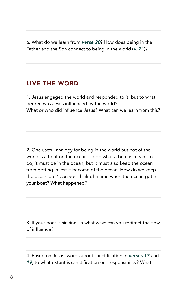6. What do we learn from *verse 20*? How does being in the Father and the Son connect to being in the world (*v. 21*)?

#### LIVE THE WORD

1. Jesus engaged the world and responded to it, but to what degree was Jesus influenced by the world? What or who did influence Jesus? What can we learn from this?

2. One useful analogy for being in the world but not of the world is a boat on the ocean. To do what a boat is meant to do, it must be in the ocean, but it must also keep the ocean from getting in lest it become of the ocean. How do we keep the ocean out? Can you think of a time when the ocean got in your boat? What happened?

3. If your boat is sinking, in what ways can you redirect the flow of influence?

4. Based on Jesus' words about sanctification in *verses 17* and *19*, to what extent is sanctification our responsibility? What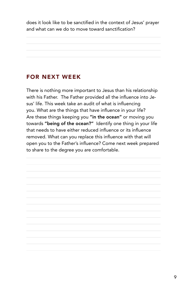does it look like to be sanctified in the context of Jesus' prayer and what can we do to move toward sanctification?

### FOR NEXT WEEK

There is nothing more important to Jesus than his relationship with his Father. The Father provided all the influence into Jesus' life. This week take an audit of what is influencing you. What are the things that have influence in your life? Are these things keeping you "in the ocean" or moving you towards "being of the ocean?" Identify one thing in your life that needs to have either reduced influence or its influence removed. What can you replace this influence with that will open you to the Father's influence? Come next week prepared to share to the degree you are comfortable.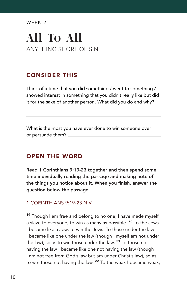# **All To All**  ANYTHING SHORT OF SIN

# CONSIDER THIS

Think of a time that you did something / went to something / showed interest in something that you didn't really like but did it for the sake of another person. What did you do and why?

What is the most you have ever done to win someone over or persuade them?

#### OPEN THE WORD

Read 1 Corinthians 9:19-23 together and then spend some time individually reading the passage and making note of the things you notice about it. When you finish, answer the question below the passage.

#### 1 CORINTHIANS 9:19-23 NIV

<sup>19</sup> Though I am free and belong to no one, I have made myself a slave to everyone, to win as many as possible. <sup>20</sup> To the Jews I became like a Jew, to win the Jews. To those under the law I became like one under the law (though I myself am not under the law), so as to win those under the law. <sup>21</sup> To those not having the law I became like one not having the law (though I am not free from God's law but am under Christ's law), so as to win those not having the law. <sup>22</sup> To the weak I became weak,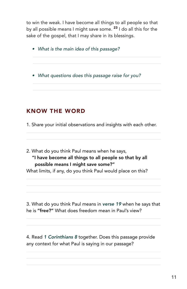to win the weak. I have become all things to all people so that by all possible means I might save some.<sup>23</sup> I do all this for the sake of the gospel, that I may share in its blessings.

- *• What is the main idea of this passage?*
- *• What questions does this passage raise for you?*

# KNOW THE WORD

1. Share your initial observations and insights with each other.

2. What do you think Paul means when he says, "I have become all things to all people so that by all possible means I might save some?"

What limits, if any, do you think Paul would place on this?

3. What do you think Paul means in *verse 19* when he says that he is "free?" What does freedom mean in Paul's view?

4. Read *1 Corinthians 8* together. Does this passage provide any context for what Paul is saying in our passage?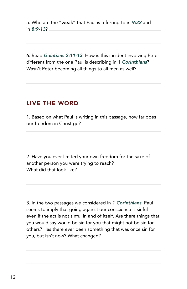5. Who are the "weak" that Paul is referring to in *9:22* and in *8:9-13*?

6. Read *Galatians 2:11-13*. How is this incident involving Peter different from the one Paul is describing in *1 Corinthians*? Wasn't Peter becoming all things to all men as well?

#### LIVE THE WORD

1. Based on what Paul is writing in this passage, how far does our freedom in Christ go?

2. Have you ever limited your own freedom for the sake of another person you were trying to reach? What did that look like?

3. In the two passages we considered in *1 Corinthians*, Paul seems to imply that going against our conscience is sinful – even if the act is not sinful in and of itself. Are there things that you would say would be sin for you that might not be sin for others? Has there ever been something that was once sin for you, but isn't now? What changed?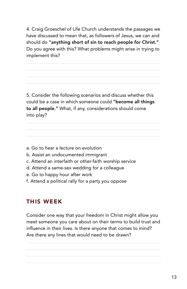4. Craig Groeschel of Life Church understands the passages we have discussed to mean that, as followers of Jesus, we can and should do "anything short of sin to reach people for Christ." Do you agree with this? What problems might arise in trying to implement this?

5. Consider the following scenarios and discuss whether this could be a case in which someone could "become all things to all people." What, if any, considerations should come into play?

- a. Go to hear a lecture on evolution
- b. Assist an undocumented immigrant
- c. Attend an interfaith or other-faith worship service
- d. Attend a same-sex wedding for a colleague
- e. Go to happy hour after work
- f. Attend a political rally for a party you oppose

#### THIS WEEK

Consider one way that your freedom in Christ might allow you meet someone you care about on their terms to build trust and influence in their lives. Is there anyone that comes to mind? Are there any lines that would need to be drawn?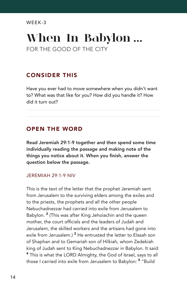# **When In Babylon ...** FOR THE GOOD OF THE CITY

## CONSIDER THIS

Have you ever had to move somewhere when you didn't want to? What was that like for you? How did you handle it? How did it turn out?

### OPEN THE WORD

Read Jeremiah 29:1-9 together and then spend some time individually reading the passage and making note of the things you notice about it. When you finish, answer the question below the passage.

#### JEREMIAH 29:1-9 NIV

This is the text of the letter that the prophet Jeremiah sent from Jerusalem to the surviving elders among the exiles and to the priests, the prophets and all the other people Nebuchadnezzar had carried into exile from Jerusalem to Babylon.<sup>2</sup> (This was after King Jehoiachin and the queen mother, the court officials and the leaders of Judah and Jerusalem, the skilled workers and the artisans had gone into exile from Jerusalem.)<sup>3</sup> He entrusted the letter to Elasah son of Shaphan and to Gemariah son of Hilkiah, whom Zedekiah king of Judah sent to King Nebuchadnezzar in Babylon. It said: <sup>4</sup> This is what the LORD Almighty, the God of Israel, says to all those I carried into exile from Jerusalem to Babylon: <sup>5</sup> "Build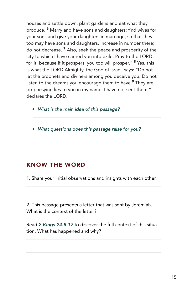houses and settle down; plant gardens and eat what they produce. <sup>6</sup> Marry and have sons and daughters; find wives for your sons and give your daughters in marriage, so that they too may have sons and daughters. Increase in number there; do not decrease. <sup>7</sup> Also, seek the peace and prosperity of the city to which I have carried you into exile. Pray to the LORD for it, because if it prospers, you too will prosper." <sup>8</sup> Yes, this is what the LORD Almighty, the God of Israel, says: "Do not let the prophets and diviners among you deceive you. Do not listen to the dreams you encourage them to have.<sup>9</sup> They are prophesying lies to you in my name. I have not sent them," declares the LORD.

- *• What is the main idea of this passage?*
- *• What questions does this passage raise for you?*

# KNOW THE WORD

1. Share your initial observations and insights with each other.

2. This passage presents a letter that was sent by Jeremiah. What is the context of the letter?

Read *2 Kings 24:8-17* to discover the full context of this situation. What has happened and why?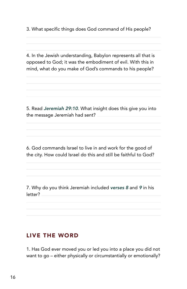3. What specific things does God command of His people?

4. In the Jewish understanding, Babylon represents all that is opposed to God; it was the embodiment of evil. With this in mind, what do you make of God's commands to his people?

5. Read *Jeremiah 29:10*. What insight does this give you into the message Jeremiah had sent?

6. God commands Israel to live in and work for the good of the city. How could Israel do this and still be faithful to God?

7. Why do you think Jeremiah included *verses 8* and *9* in his letter?

#### LIVE THE WORD

1. Has God ever moved you or led you into a place you did not want to go – either physically or circumstantially or emotionally?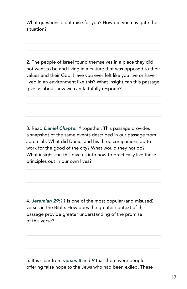What questions did it raise for you? How did you navigate the situation?

2. The people of Israel found themselves in a place they did not want to be and living in a culture that was opposed to their values and their God. Have you ever felt like you live or have lived in an environment like this? What insight can this passage give us about how we can faithfully respond?

3. Read *Daniel Chapter 1* together. This passage provides a snapshot of the same events described in our passage from Jeremiah. What did Daniel and his three companions do to work for the good of the city? What would they not do? What insight can this give us into how to practically live these principles out in our own lives?

4. *Jeremiah 29:11* is one of the most popular (and misused) verses in the Bible. How does the greater context of this passage provide greater understanding of the promise of this verse?

5. It is clear from *verses 8* and *9* that there were people offering false hope to the Jews who had been exiled. These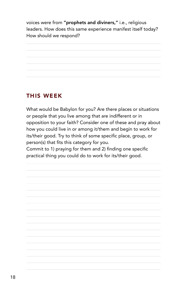voices were from "prophets and diviners," i.e., religious leaders. How does this same experience manifest itself today? How should we respond?

# THIS WEEK

What would be Babylon for you? Are there places or situations or people that you live among that are indifferent or in opposition to your faith? Consider one of these and pray about how you could live in or among it/them and begin to work for its/their good. Try to think of some specific place, group, or person(s) that fits this category for you.

Commit to 1) praying for them and 2) finding one specific practical thing you could do to work for its/their good.